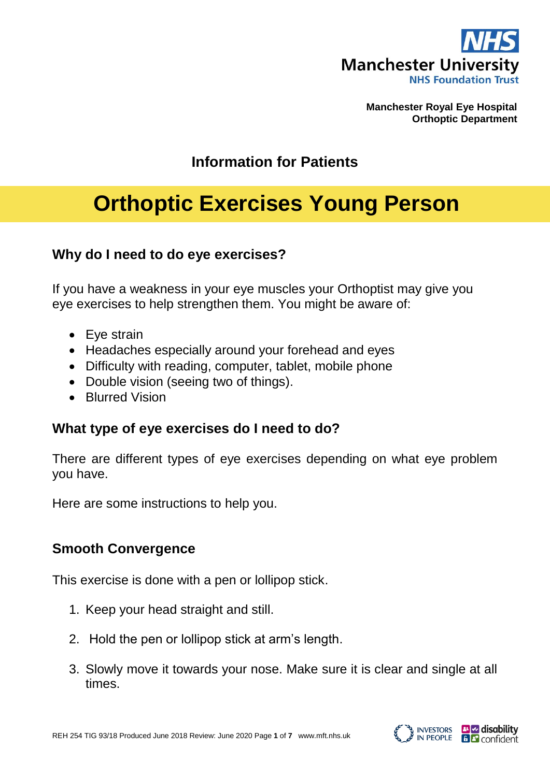

**Manchester Royal Eye Hospital Orthoptic Department**

## **Information for Patients**

# **Orthoptic Exercises Young Person**

#### **Why do I need to do eye exercises?**

If you have a weakness in your eye muscles your Orthoptist may give you eye exercises to help strengthen them. You might be aware of:

- Eye strain
- Headaches especially around your forehead and eyes
- Difficulty with reading, computer, tablet, mobile phone
- Double vision (seeing two of things).
- Blurred Vision

#### **What type of eye exercises do I need to do?**

There are different types of eye exercises depending on what eye problem you have.

Here are some instructions to help you.

#### **Smooth Convergence**

This exercise is done with a pen or lollipop stick.

- 1. Keep your head straight and still.
- 2. Hold the pen or lollipop stick at arm's length.
- 3. Slowly move it towards your nose. Make sure it is clear and single at all times.

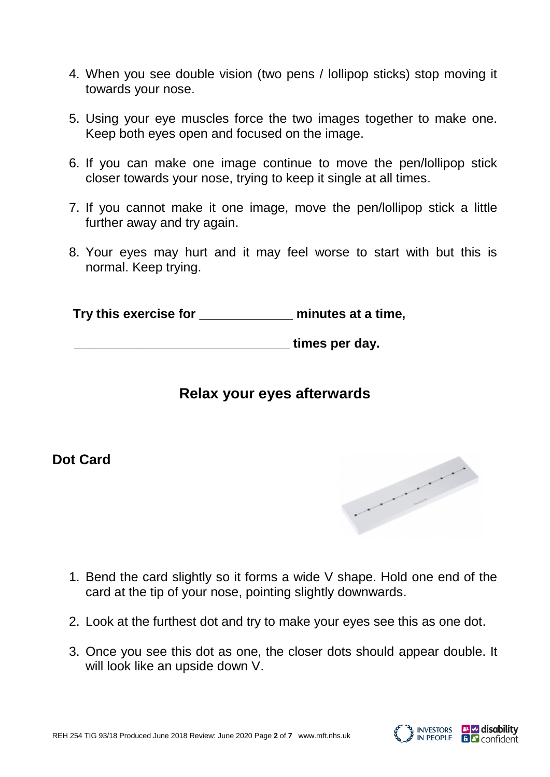- 4. When you see double vision (two pens / lollipop sticks) stop moving it towards your nose.
- 5. Using your eye muscles force the two images together to make one. Keep both eyes open and focused on the image.
- 6. If you can make one image continue to move the pen/lollipop stick closer towards your nose, trying to keep it single at all times.
- 7. If you cannot make it one image, move the pen/lollipop stick a little further away and try again.
- 8. Your eyes may hurt and it may feel worse to start with but this is normal. Keep trying.

 **Try this exercise for \_\_\_\_\_\_\_\_\_\_\_\_\_ minutes at a time,**

*u*  $\blacksquare$  **times per day.** 

## **Relax your eyes afterwards**

## **Dot Card**



- 1. Bend the card slightly so it forms a wide V shape. Hold one end of the card at the tip of your nose, pointing slightly downwards.
- 2. Look at the furthest dot and try to make your eyes see this as one dot.
- 3. Once you see this dot as one, the closer dots should appear double. It will look like an upside down V.

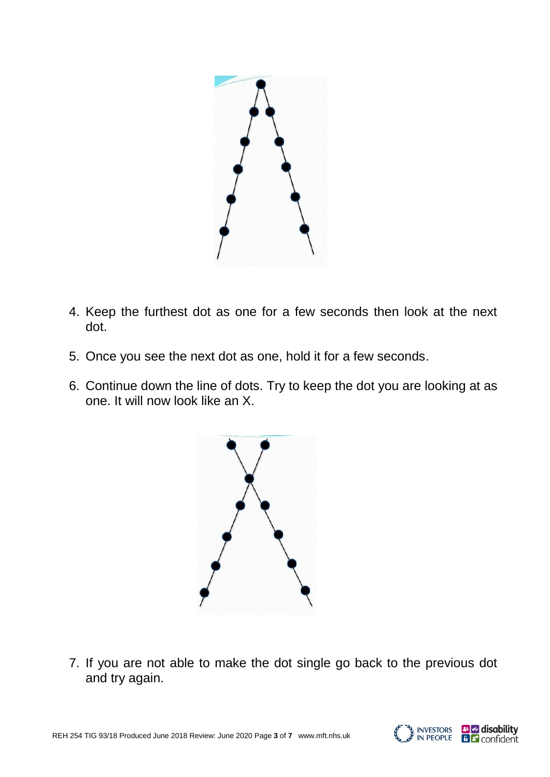

- 4. Keep the furthest dot as one for a few seconds then look at the next dot.
- 5. Once you see the next dot as one, hold it for a few seconds.
- 6. Continue down the line of dots. Try to keep the dot you are looking at as one. It will now look like an X.



7. If you are not able to make the dot single go back to the previous dot and try again.

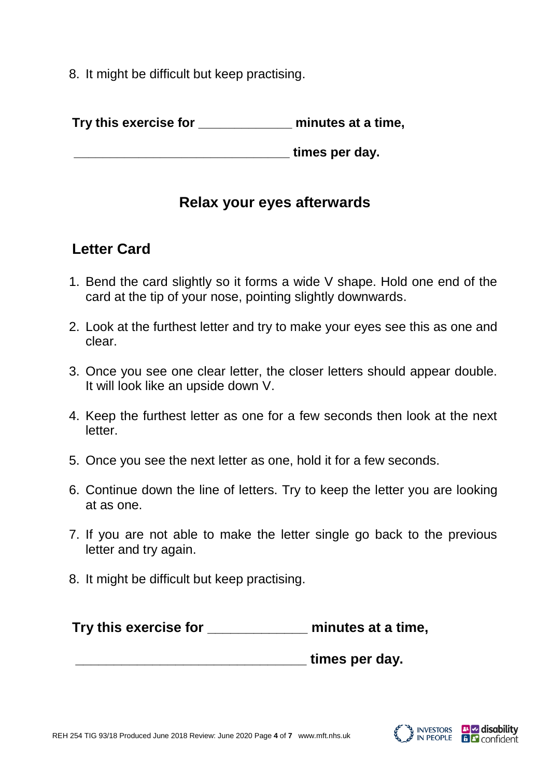8. It might be difficult but keep practising.

**Try this exercise for \_\_\_\_\_\_\_\_\_\_\_\_\_ minutes at a time,**

*EXECUTE:* THE **EXECUTE: THE EXECUTE:**  $\mathbf{C} = \mathbf{C} \mathbf{C} \mathbf{C} \mathbf{C} \mathbf{C} \mathbf{C} \mathbf{C} \mathbf{C} \mathbf{C} \mathbf{C} \mathbf{C} \mathbf{C} \mathbf{C} \mathbf{C} \mathbf{C} \mathbf{C} \mathbf{C} \mathbf{C} \mathbf{C} \mathbf{C} \mathbf{C} \mathbf{C} \mathbf{C} \mathbf{C} \mathbf{C} \mathbf{C} \mathbf{C} \mathbf{C} \mathbf$ 

## **Relax your eyes afterwards**

# **Letter Card**

- 1. Bend the card slightly so it forms a wide V shape. Hold one end of the card at the tip of your nose, pointing slightly downwards.
- 2. Look at the furthest letter and try to make your eyes see this as one and clear.
- 3. Once you see one clear letter, the closer letters should appear double. It will look like an upside down V.
- 4. Keep the furthest letter as one for a few seconds then look at the next letter.
- 5. Once you see the next letter as one, hold it for a few seconds.
- 6. Continue down the line of letters. Try to keep the letter you are looking at as one.
- 7. If you are not able to make the letter single go back to the previous letter and try again.
- 8. It might be difficult but keep practising.

| Try this exercise for | minutes at a time, |
|-----------------------|--------------------|
|-----------------------|--------------------|

 **\_\_\_\_\_\_\_\_\_\_\_\_\_\_\_\_\_\_\_\_\_\_\_\_\_\_\_\_\_\_ times per day.**

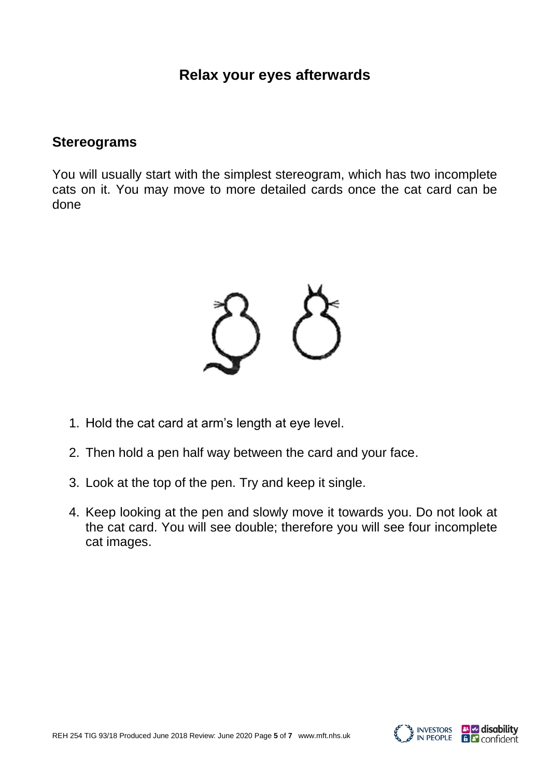#### **Relax your eyes afterwards**

#### **Stereograms**

You will usually start with the simplest stereogram, which has two incomplete cats on it. You may move to more detailed cards once the cat card can be done



- 1. Hold the cat card at arm's length at eye level.
- 2. Then hold a pen half way between the card and your face.
- 3. Look at the top of the pen. Try and keep it single.
- 4. Keep looking at the pen and slowly move it towards you. Do not look at the cat card. You will see double; therefore you will see four incomplete cat images.

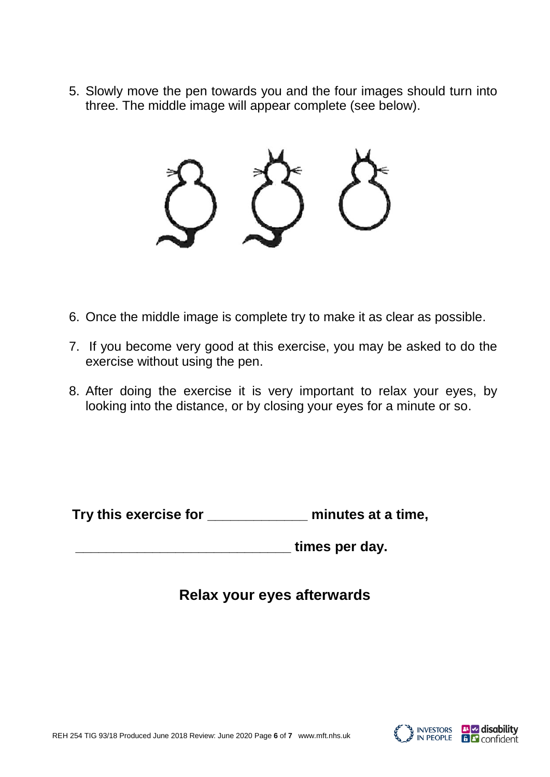5. Slowly move the pen towards you and the four images should turn into three. The middle image will appear complete (see below).



- 6. Once the middle image is complete try to make it as clear as possible.
- 7. If you become very good at this exercise, you may be asked to do the exercise without using the pen.
- 8. After doing the exercise it is very important to relax your eyes, by looking into the distance, or by closing your eyes for a minute or so.

**Try this exercise for \_\_\_\_\_\_\_\_\_\_\_\_\_ minutes at a time,**

times per day.

## **Relax your eyes afterwards**